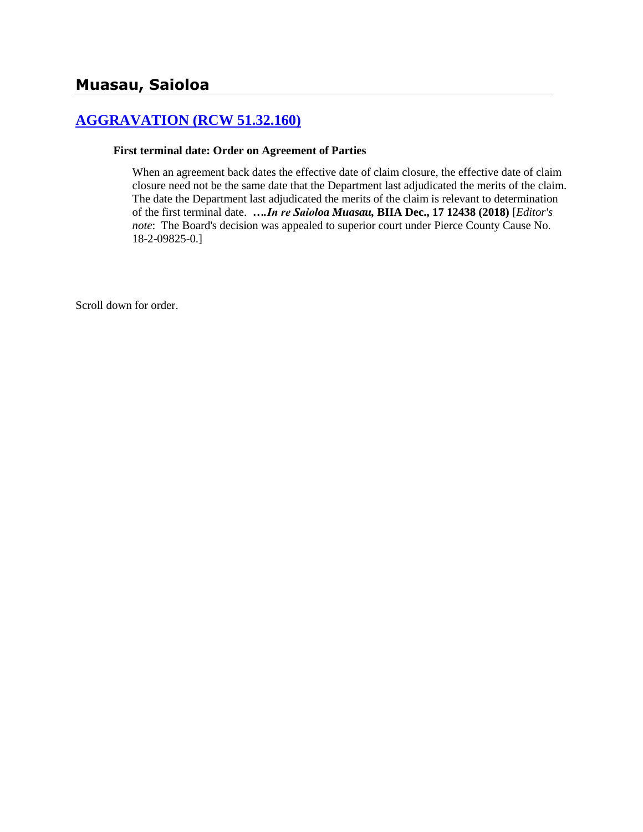# **[AGGRAVATION \(RCW 51.32.160\)](http://www.biia.wa.gov/SDSubjectIndex.html#AGGRAVATION)**

#### **First terminal date: Order on Agreement of Parties**

When an agreement back dates the effective date of claim closure, the effective date of claim closure need not be the same date that the Department last adjudicated the merits of the claim. The date the Department last adjudicated the merits of the claim is relevant to determination of the first terminal date. *….In re Saioloa Muasau,* **BIIA Dec., 17 12438 (2018)** [*Editor's note*: The Board's decision was appealed to superior court under Pierce County Cause No. 18-2-09825-0.]

Scroll down for order.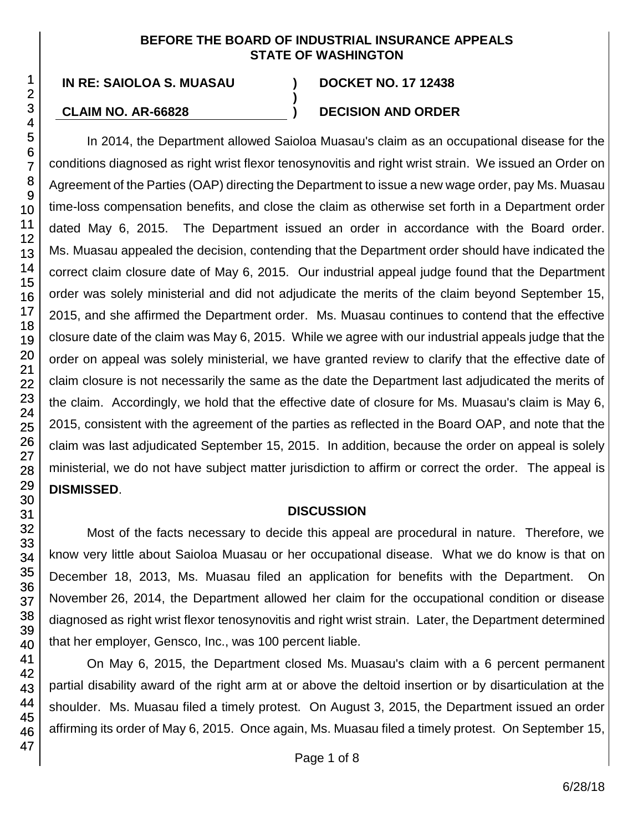#### **BEFORE THE BOARD OF INDUSTRIAL INSURANCE APPEALS STATE OF WASHINGTON**

**)**

## **CLAIM NO. AR-66828 ) DECISION AND ORDER**

In 2014, the Department allowed Saioloa Muasau's claim as an occupational disease for the conditions diagnosed as right wrist flexor tenosynovitis and right wrist strain. We issued an Order on Agreement of the Parties (OAP) directing the Department to issue a new wage order, pay Ms. Muasau time-loss compensation benefits, and close the claim as otherwise set forth in a Department order dated May 6, 2015. The Department issued an order in accordance with the Board order. Ms. Muasau appealed the decision, contending that the Department order should have indicated the correct claim closure date of May 6, 2015. Our industrial appeal judge found that the Department order was solely ministerial and did not adjudicate the merits of the claim beyond September 15, 2015, and she affirmed the Department order. Ms. Muasau continues to contend that the effective closure date of the claim was May 6, 2015. While we agree with our industrial appeals judge that the order on appeal was solely ministerial, we have granted review to clarify that the effective date of claim closure is not necessarily the same as the date the Department last adjudicated the merits of the claim. Accordingly, we hold that the effective date of closure for Ms. Muasau's claim is May 6, 2015, consistent with the agreement of the parties as reflected in the Board OAP, and note that the claim was last adjudicated September 15, 2015. In addition, because the order on appeal is solely ministerial, we do not have subject matter jurisdiction to affirm or correct the order. The appeal is **DISMISSED**.

## **DISCUSSION**

Most of the facts necessary to decide this appeal are procedural in nature. Therefore, we know very little about Saioloa Muasau or her occupational disease. What we do know is that on December 18, 2013, Ms. Muasau filed an application for benefits with the Department. On November 26, 2014, the Department allowed her claim for the occupational condition or disease diagnosed as right wrist flexor tenosynovitis and right wrist strain. Later, the Department determined that her employer, Gensco, Inc., was 100 percent liable.

On May 6, 2015, the Department closed Ms. Muasau's claim with a 6 percent permanent partial disability award of the right arm at or above the deltoid insertion or by disarticulation at the shoulder. Ms. Muasau filed a timely protest. On August 3, 2015, the Department issued an order affirming its order of May 6, 2015. Once again, Ms. Muasau filed a timely protest. On September 15,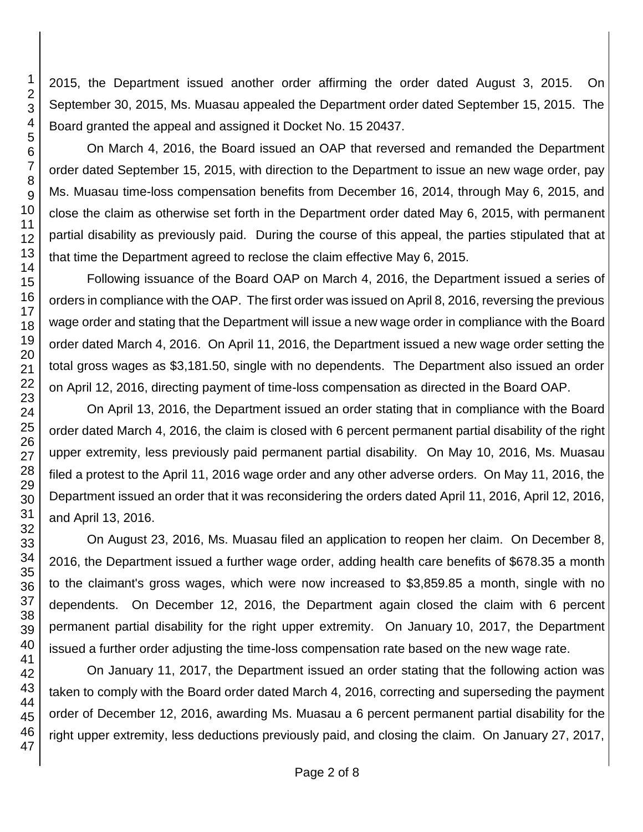2015, the Department issued another order affirming the order dated August 3, 2015. On September 30, 2015, Ms. Muasau appealed the Department order dated September 15, 2015. The Board granted the appeal and assigned it Docket No. 15 20437.

On March 4, 2016, the Board issued an OAP that reversed and remanded the Department order dated September 15, 2015, with direction to the Department to issue an new wage order, pay Ms. Muasau time-loss compensation benefits from December 16, 2014, through May 6, 2015, and close the claim as otherwise set forth in the Department order dated May 6, 2015, with permanent partial disability as previously paid. During the course of this appeal, the parties stipulated that at that time the Department agreed to reclose the claim effective May 6, 2015.

Following issuance of the Board OAP on March 4, 2016, the Department issued a series of orders in compliance with the OAP. The first order was issued on April 8, 2016, reversing the previous wage order and stating that the Department will issue a new wage order in compliance with the Board order dated March 4, 2016. On April 11, 2016, the Department issued a new wage order setting the total gross wages as \$3,181.50, single with no dependents. The Department also issued an order on April 12, 2016, directing payment of time-loss compensation as directed in the Board OAP.

On April 13, 2016, the Department issued an order stating that in compliance with the Board order dated March 4, 2016, the claim is closed with 6 percent permanent partial disability of the right upper extremity, less previously paid permanent partial disability. On May 10, 2016, Ms. Muasau filed a protest to the April 11, 2016 wage order and any other adverse orders. On May 11, 2016, the Department issued an order that it was reconsidering the orders dated April 11, 2016, April 12, 2016, and April 13, 2016.

On August 23, 2016, Ms. Muasau filed an application to reopen her claim. On December 8, 2016, the Department issued a further wage order, adding health care benefits of \$678.35 a month to the claimant's gross wages, which were now increased to \$3,859.85 a month, single with no dependents. On December 12, 2016, the Department again closed the claim with 6 percent permanent partial disability for the right upper extremity. On January 10, 2017, the Department issued a further order adjusting the time-loss compensation rate based on the new wage rate.

On January 11, 2017, the Department issued an order stating that the following action was taken to comply with the Board order dated March 4, 2016, correcting and superseding the payment order of December 12, 2016, awarding Ms. Muasau a 6 percent permanent partial disability for the right upper extremity, less deductions previously paid, and closing the claim. On January 27, 2017,

1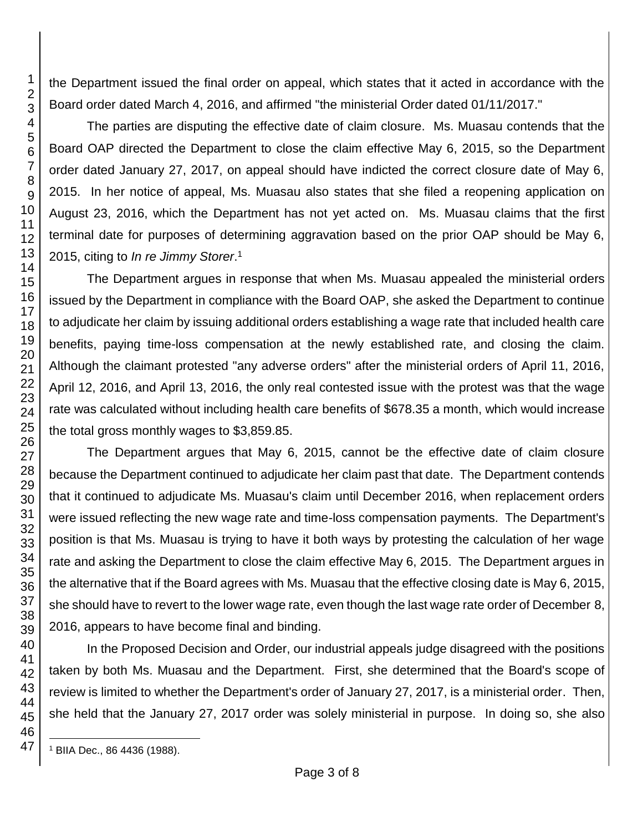the Department issued the final order on appeal, which states that it acted in accordance with the Board order dated March 4, 2016, and affirmed "the ministerial Order dated 01/11/2017."

The parties are disputing the effective date of claim closure. Ms. Muasau contends that the Board OAP directed the Department to close the claim effective May 6, 2015, so the Department order dated January 27, 2017, on appeal should have indicted the correct closure date of May 6, 2015. In her notice of appeal, Ms. Muasau also states that she filed a reopening application on August 23, 2016, which the Department has not yet acted on. Ms. Muasau claims that the first terminal date for purposes of determining aggravation based on the prior OAP should be May 6, 2015, citing to *In re Jimmy Storer*. 1

The Department argues in response that when Ms. Muasau appealed the ministerial orders issued by the Department in compliance with the Board OAP, she asked the Department to continue to adjudicate her claim by issuing additional orders establishing a wage rate that included health care benefits, paying time-loss compensation at the newly established rate, and closing the claim. Although the claimant protested "any adverse orders" after the ministerial orders of April 11, 2016, April 12, 2016, and April 13, 2016, the only real contested issue with the protest was that the wage rate was calculated without including health care benefits of \$678.35 a month, which would increase the total gross monthly wages to \$3,859.85.

The Department argues that May 6, 2015, cannot be the effective date of claim closure because the Department continued to adjudicate her claim past that date. The Department contends that it continued to adjudicate Ms. Muasau's claim until December 2016, when replacement orders were issued reflecting the new wage rate and time-loss compensation payments. The Department's position is that Ms. Muasau is trying to have it both ways by protesting the calculation of her wage rate and asking the Department to close the claim effective May 6, 2015. The Department argues in the alternative that if the Board agrees with Ms. Muasau that the effective closing date is May 6, 2015, she should have to revert to the lower wage rate, even though the last wage rate order of December 8, 2016, appears to have become final and binding.

In the Proposed Decision and Order, our industrial appeals judge disagreed with the positions taken by both Ms. Muasau and the Department. First, she determined that the Board's scope of review is limited to whether the Department's order of January 27, 2017, is a ministerial order. Then, she held that the January 27, 2017 order was solely ministerial in purpose. In doing so, she also

1

l <sup>1</sup> BIIA Dec., 86 4436 (1988).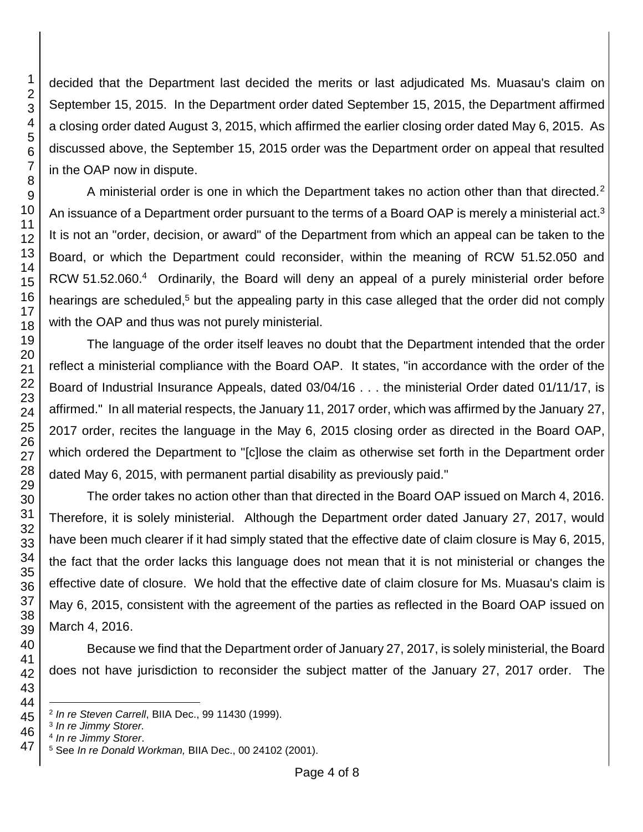decided that the Department last decided the merits or last adjudicated Ms. Muasau's claim on September 15, 2015. In the Department order dated September 15, 2015, the Department affirmed a closing order dated August 3, 2015, which affirmed the earlier closing order dated May 6, 2015. As discussed above, the September 15, 2015 order was the Department order on appeal that resulted in the OAP now in dispute.

A ministerial order is one in which the Department takes no action other than that directed.<sup>2</sup> An issuance of a Department order pursuant to the terms of a Board OAP is merely a ministerial act.<sup>3</sup> It is not an "order, decision, or award" of the Department from which an appeal can be taken to the Board, or which the Department could reconsider, within the meaning of RCW 51.52.050 and RCW 51.52.060.<sup>4</sup> Ordinarily, the Board will deny an appeal of a purely ministerial order before hearings are scheduled,<sup>5</sup> but the appealing party in this case alleged that the order did not comply with the OAP and thus was not purely ministerial.

The language of the order itself leaves no doubt that the Department intended that the order reflect a ministerial compliance with the Board OAP. It states, "in accordance with the order of the Board of Industrial Insurance Appeals, dated 03/04/16 . . . the ministerial Order dated 01/11/17, is affirmed." In all material respects, the January 11, 2017 order, which was affirmed by the January 27, 2017 order, recites the language in the May 6, 2015 closing order as directed in the Board OAP, which ordered the Department to "[c]lose the claim as otherwise set forth in the Department order dated May 6, 2015, with permanent partial disability as previously paid."

The order takes no action other than that directed in the Board OAP issued on March 4, 2016. Therefore, it is solely ministerial. Although the Department order dated January 27, 2017, would have been much clearer if it had simply stated that the effective date of claim closure is May 6, 2015, the fact that the order lacks this language does not mean that it is not ministerial or changes the effective date of closure. We hold that the effective date of claim closure for Ms. Muasau's claim is May 6, 2015, consistent with the agreement of the parties as reflected in the Board OAP issued on March 4, 2016.

Because we find that the Department order of January 27, 2017, is solely ministerial, the Board does not have jurisdiction to reconsider the subject matter of the January 27, 2017 order. The

l *In re Steven Carrell*, BIIA Dec., 99 11430 (1999).

*In re Jimmy Storer.*

*In re Jimmy Storer*.

See *In re Donald Workman,* BIIA Dec., 00 24102 (2001).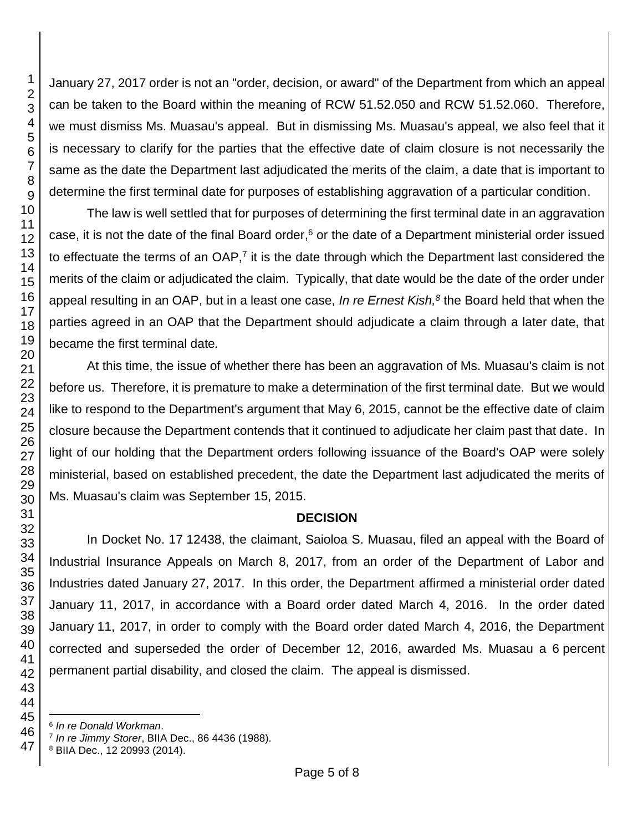January 27, 2017 order is not an "order, decision, or award" of the Department from which an appeal can be taken to the Board within the meaning of RCW 51.52.050 and RCW 51.52.060. Therefore, we must dismiss Ms. Muasau's appeal. But in dismissing Ms. Muasau's appeal, we also feel that it is necessary to clarify for the parties that the effective date of claim closure is not necessarily the same as the date the Department last adjudicated the merits of the claim, a date that is important to determine the first terminal date for purposes of establishing aggravation of a particular condition.

The law is well settled that for purposes of determining the first terminal date in an aggravation case, it is not the date of the final Board order,<sup>6</sup> or the date of a Department ministerial order issued to effectuate the terms of an  $OAP$ ,<sup>7</sup> it is the date through which the Department last considered the merits of the claim or adjudicated the claim. Typically, that date would be the date of the order under appeal resulting in an OAP, but in a least one case, *In re Ernest Kish,<sup>8</sup>* the Board held that when the parties agreed in an OAP that the Department should adjudicate a claim through a later date, that became the first terminal date*.*

At this time, the issue of whether there has been an aggravation of Ms. Muasau's claim is not before us. Therefore, it is premature to make a determination of the first terminal date. But we would like to respond to the Department's argument that May 6, 2015, cannot be the effective date of claim closure because the Department contends that it continued to adjudicate her claim past that date. In light of our holding that the Department orders following issuance of the Board's OAP were solely ministerial, based on established precedent, the date the Department last adjudicated the merits of Ms. Muasau's claim was September 15, 2015.

## **DECISION**

In Docket No. 17 12438, the claimant, Saioloa S. Muasau, filed an appeal with the Board of Industrial Insurance Appeals on March 8, 2017, from an order of the Department of Labor and Industries dated January 27, 2017. In this order, the Department affirmed a ministerial order dated January 11, 2017, in accordance with a Board order dated March 4, 2016. In the order dated January 11, 2017, in order to comply with the Board order dated March 4, 2016, the Department corrected and superseded the order of December 12, 2016, awarded Ms. Muasau a 6 percent permanent partial disability, and closed the claim. The appeal is dismissed.

*In re Donald Workman*.

*In re Jimmy Storer*, BIIA Dec., 86 4436 (1988).

BIIA Dec., 12 20993 (2014).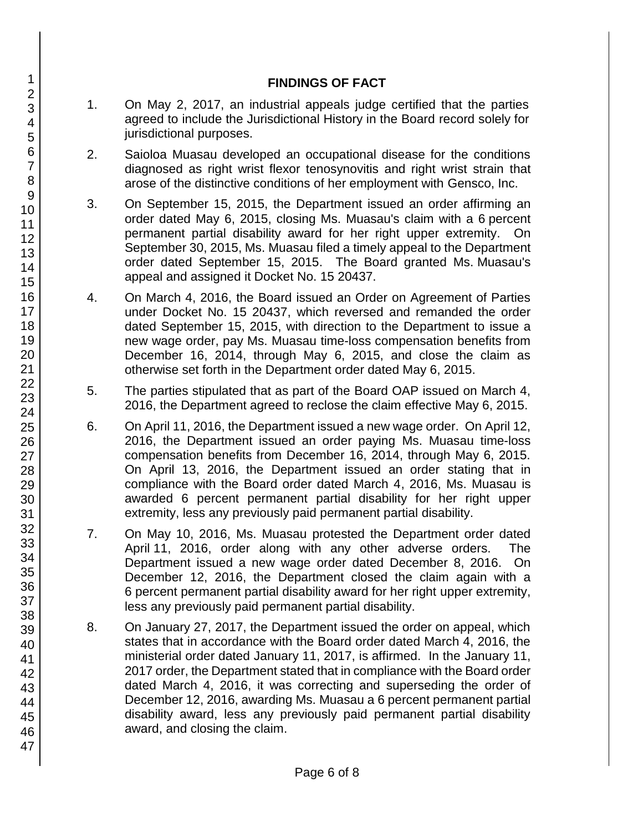### **FINDINGS OF FACT**

- 1. On May 2, 2017, an industrial appeals judge certified that the parties agreed to include the Jurisdictional History in the Board record solely for jurisdictional purposes.
- 2. Saioloa Muasau developed an occupational disease for the conditions diagnosed as right wrist flexor tenosynovitis and right wrist strain that arose of the distinctive conditions of her employment with Gensco, Inc.
- 3. On September 15, 2015, the Department issued an order affirming an order dated May 6, 2015, closing Ms. Muasau's claim with a 6 percent permanent partial disability award for her right upper extremity. On September 30, 2015, Ms. Muasau filed a timely appeal to the Department order dated September 15, 2015. The Board granted Ms. Muasau's appeal and assigned it Docket No. 15 20437.
- 4. On March 4, 2016, the Board issued an Order on Agreement of Parties under Docket No. 15 20437, which reversed and remanded the order dated September 15, 2015, with direction to the Department to issue a new wage order, pay Ms. Muasau time-loss compensation benefits from December 16, 2014, through May 6, 2015, and close the claim as otherwise set forth in the Department order dated May 6, 2015.
- 5. The parties stipulated that as part of the Board OAP issued on March 4, 2016, the Department agreed to reclose the claim effective May 6, 2015.
- 6. On April 11, 2016, the Department issued a new wage order. On April 12, 2016, the Department issued an order paying Ms. Muasau time-loss compensation benefits from December 16, 2014, through May 6, 2015. On April 13, 2016, the Department issued an order stating that in compliance with the Board order dated March 4, 2016, Ms. Muasau is awarded 6 percent permanent partial disability for her right upper extremity, less any previously paid permanent partial disability.
- 7. On May 10, 2016, Ms. Muasau protested the Department order dated April 11, 2016, order along with any other adverse orders. The Department issued a new wage order dated December 8, 2016. On December 12, 2016, the Department closed the claim again with a 6 percent permanent partial disability award for her right upper extremity, less any previously paid permanent partial disability.
- 8. On January 27, 2017, the Department issued the order on appeal, which states that in accordance with the Board order dated March 4, 2016, the ministerial order dated January 11, 2017, is affirmed. In the January 11, 2017 order, the Department stated that in compliance with the Board order dated March 4, 2016, it was correcting and superseding the order of December 12, 2016, awarding Ms. Muasau a 6 percent permanent partial disability award, less any previously paid permanent partial disability award, and closing the claim.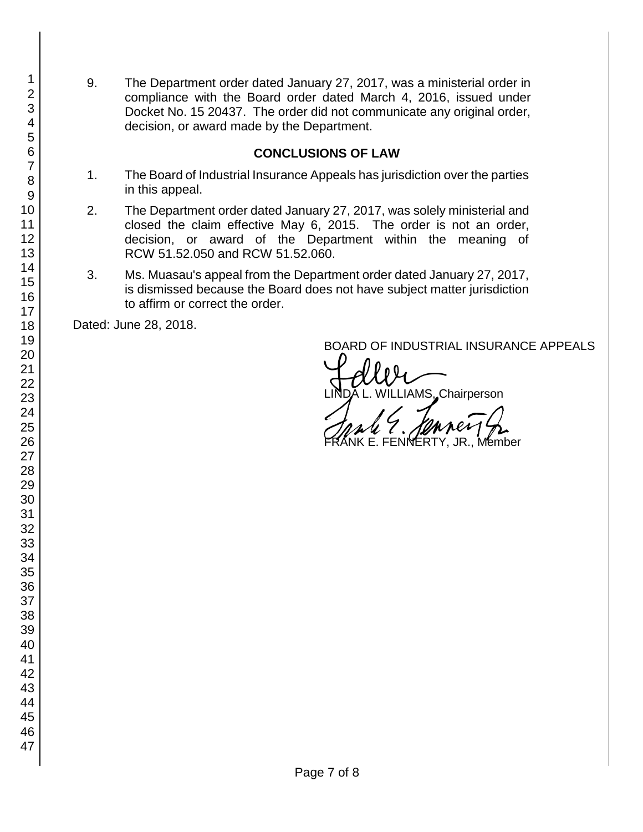9. The Department order dated January 27, 2017, was a ministerial order in compliance with the Board order dated March 4, 2016, issued under Docket No. 15 20437. The order did not communicate any original order, decision, or award made by the Department.

### **CONCLUSIONS OF LAW**

- 1. The Board of Industrial Insurance Appeals has jurisdiction over the parties in this appeal.
- 2. The Department order dated January 27, 2017, was solely ministerial and closed the claim effective May 6, 2015. The order is not an order, decision, or award of the Department within the meaning of RCW 51.52.050 and RCW 51.52.060.
- 3. Ms. Muasau's appeal from the Department order dated January 27, 2017, is dismissed because the Board does not have subject matter jurisdiction to affirm or correct the order.

Dated: June 28, 2018.

BOARD OF INDUSTRIAL INSURANCE APPEALS<br>
UNDA L. WILLIAMS, Chairperson

. FENNERTY, JR., Member